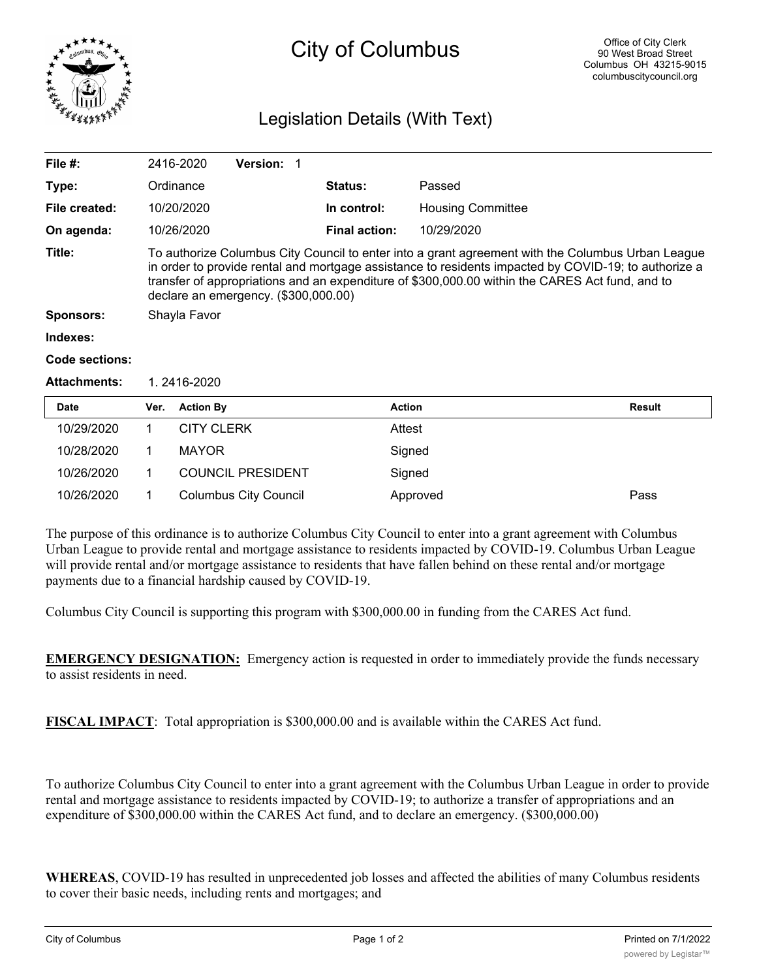

## City of Columbus

## Legislation Details (With Text)

| File $#$ :          |                                                                                                                                                                                                                                                                                                                                                      | 2416-2020         | <b>Version: 1</b>        |  |                      |                          |        |
|---------------------|------------------------------------------------------------------------------------------------------------------------------------------------------------------------------------------------------------------------------------------------------------------------------------------------------------------------------------------------------|-------------------|--------------------------|--|----------------------|--------------------------|--------|
| Type:               |                                                                                                                                                                                                                                                                                                                                                      | Ordinance         |                          |  | Status:              | Passed                   |        |
| File created:       |                                                                                                                                                                                                                                                                                                                                                      | 10/20/2020        |                          |  | In control:          | <b>Housing Committee</b> |        |
| On agenda:          |                                                                                                                                                                                                                                                                                                                                                      | 10/26/2020        |                          |  | <b>Final action:</b> | 10/29/2020               |        |
| Title:              | To authorize Columbus City Council to enter into a grant agreement with the Columbus Urban League<br>in order to provide rental and mortgage assistance to residents impacted by COVID-19; to authorize a<br>transfer of appropriations and an expenditure of \$300,000.00 within the CARES Act fund, and to<br>declare an emergency. (\$300,000.00) |                   |                          |  |                      |                          |        |
| <b>Sponsors:</b>    | Shayla Favor                                                                                                                                                                                                                                                                                                                                         |                   |                          |  |                      |                          |        |
| Indexes:            |                                                                                                                                                                                                                                                                                                                                                      |                   |                          |  |                      |                          |        |
| Code sections:      |                                                                                                                                                                                                                                                                                                                                                      |                   |                          |  |                      |                          |        |
| <b>Attachments:</b> | 1.2416-2020                                                                                                                                                                                                                                                                                                                                          |                   |                          |  |                      |                          |        |
| <b>Date</b>         | Ver.                                                                                                                                                                                                                                                                                                                                                 | <b>Action By</b>  |                          |  | <b>Action</b>        |                          | Result |
| 10/29/2020          |                                                                                                                                                                                                                                                                                                                                                      | <b>CITY CLERK</b> |                          |  | Attest               |                          |        |
| 10/28/2020          | 1                                                                                                                                                                                                                                                                                                                                                    | <b>MAYOR</b>      |                          |  | Signed               |                          |        |
| 10/26/2020          |                                                                                                                                                                                                                                                                                                                                                      |                   | <b>COUNCIL PRESIDENT</b> |  |                      | Signed                   |        |

The purpose of this ordinance is to authorize Columbus City Council to enter into a grant agreement with Columbus Urban League to provide rental and mortgage assistance to residents impacted by COVID-19. Columbus Urban League will provide rental and/or mortgage assistance to residents that have fallen behind on these rental and/or mortgage payments due to a financial hardship caused by COVID-19.

10/26/2020 1 Columbus City Council Approved Pass

Columbus City Council is supporting this program with \$300,000.00 in funding from the CARES Act fund.

**EMERGENCY DESIGNATION:** Emergency action is requested in order to immediately provide the funds necessary to assist residents in need.

**FISCAL IMPACT**: Total appropriation is \$300,000.00 and is available within the CARES Act fund.

To authorize Columbus City Council to enter into a grant agreement with the Columbus Urban League in order to provide rental and mortgage assistance to residents impacted by COVID-19; to authorize a transfer of appropriations and an expenditure of \$300,000.00 within the CARES Act fund, and to declare an emergency. (\$300,000.00)

**WHEREAS**, COVID-19 has resulted in unprecedented job losses and affected the abilities of many Columbus residents to cover their basic needs, including rents and mortgages; and